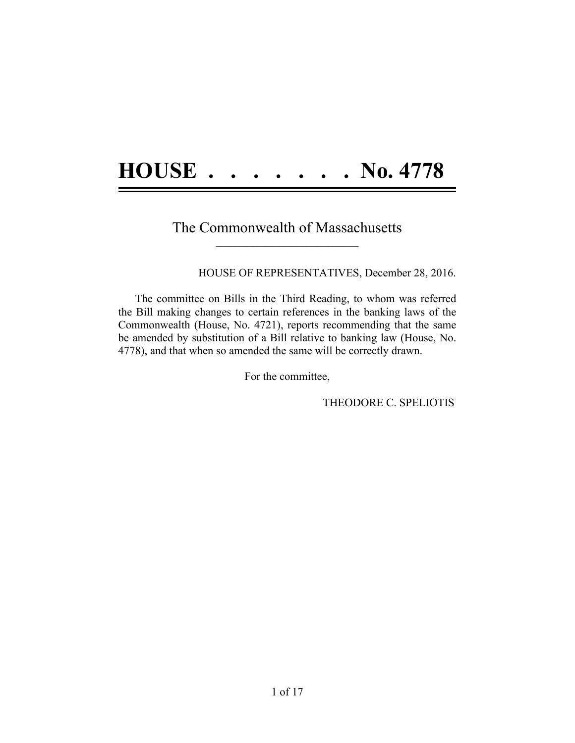# **HOUSE . . . . . . . No. 4778**

#### The Commonwealth of Massachusetts  $\mathcal{L} = \{ \mathcal{L} \}$

HOUSE OF REPRESENTATIVES, December 28, 2016.

The committee on Bills in the Third Reading, to whom was referred the Bill making changes to certain references in the banking laws of the Commonwealth (House, No. 4721), reports recommending that the same be amended by substitution of a Bill relative to banking law (House, No. 4778), and that when so amended the same will be correctly drawn.

For the committee,

THEODORE C. SPELIOTIS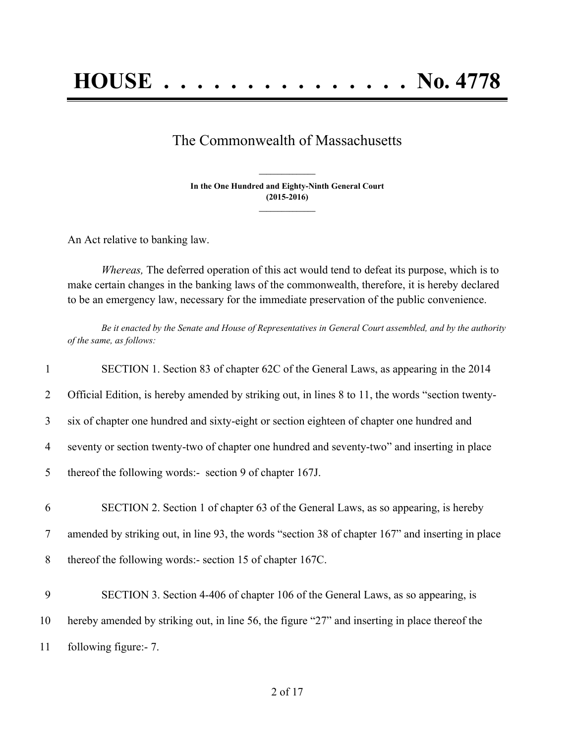### The Commonwealth of Massachusetts

**In the One Hundred and Eighty-Ninth General Court (2015-2016) \_\_\_\_\_\_\_\_\_\_\_\_\_\_\_**

**\_\_\_\_\_\_\_\_\_\_\_\_\_\_\_**

An Act relative to banking law.

*Whereas,* The deferred operation of this act would tend to defeat its purpose, which is to make certain changes in the banking laws of the commonwealth, therefore, it is hereby declared to be an emergency law, necessary for the immediate preservation of the public convenience.

Be it enacted by the Senate and House of Representatives in General Court assembled, and by the authority *of the same, as follows:*

| $\mathbf{1}$   | SECTION 1. Section 83 of chapter 62C of the General Laws, as appearing in the 2014                |
|----------------|---------------------------------------------------------------------------------------------------|
| $\overline{2}$ | Official Edition, is hereby amended by striking out, in lines 8 to 11, the words "section twenty- |
| 3              | six of chapter one hundred and sixty-eight or section eighteen of chapter one hundred and         |
| 4              | seventy or section twenty-two of chapter one hundred and seventy-two" and inserting in place      |
| 5              | thereof the following words:- section 9 of chapter 167J.                                          |
| 6              | SECTION 2. Section 1 of chapter 63 of the General Laws, as so appearing, is hereby                |
| $\tau$         | amended by striking out, in line 93, the words "section 38 of chapter 167" and inserting in place |
| 8              | thereof the following words:- section 15 of chapter 167C.                                         |
| 9              | SECTION 3. Section 4-406 of chapter 106 of the General Laws, as so appearing, is                  |
| 10             | hereby amended by striking out, in line 56, the figure "27" and inserting in place thereof the    |
| 11             | following figure:- 7.                                                                             |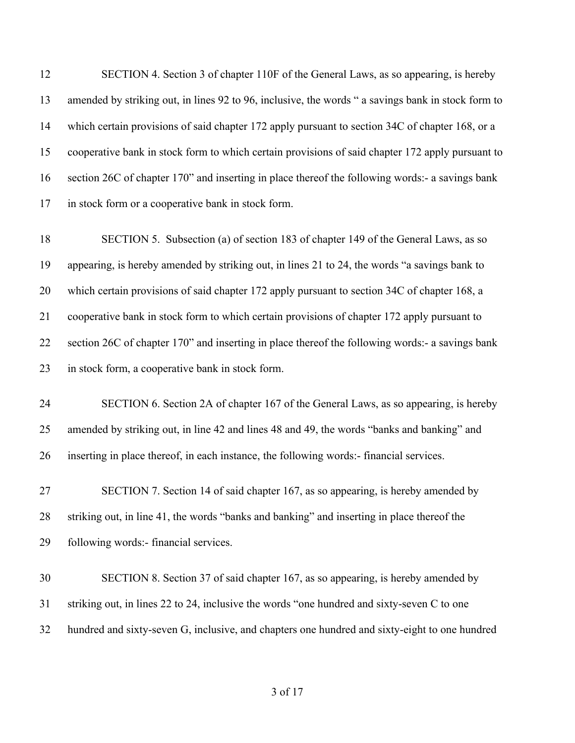SECTION 4. Section 3 of chapter 110F of the General Laws, as so appearing, is hereby amended by striking out, in lines 92 to 96, inclusive, the words " a savings bank in stock form to which certain provisions of said chapter 172 apply pursuant to section 34C of chapter 168, or a cooperative bank in stock form to which certain provisions of said chapter 172 apply pursuant to section 26C of chapter 170" and inserting in place thereof the following words:- a savings bank in stock form or a cooperative bank in stock form.

 SECTION 5. Subsection (a) of section 183 of chapter 149 of the General Laws, as so appearing, is hereby amended by striking out, in lines 21 to 24, the words "a savings bank to which certain provisions of said chapter 172 apply pursuant to section 34C of chapter 168, a cooperative bank in stock form to which certain provisions of chapter 172 apply pursuant to section 26C of chapter 170" and inserting in place thereof the following words:- a savings bank in stock form, a cooperative bank in stock form.

 SECTION 6. Section 2A of chapter 167 of the General Laws, as so appearing, is hereby amended by striking out, in line 42 and lines 48 and 49, the words "banks and banking" and inserting in place thereof, in each instance, the following words:- financial services.

 SECTION 7. Section 14 of said chapter 167, as so appearing, is hereby amended by striking out, in line 41, the words "banks and banking" and inserting in place thereof the following words:- financial services.

 SECTION 8. Section 37 of said chapter 167, as so appearing, is hereby amended by striking out, in lines 22 to 24, inclusive the words "one hundred and sixty-seven C to one hundred and sixty-seven G, inclusive, and chapters one hundred and sixty-eight to one hundred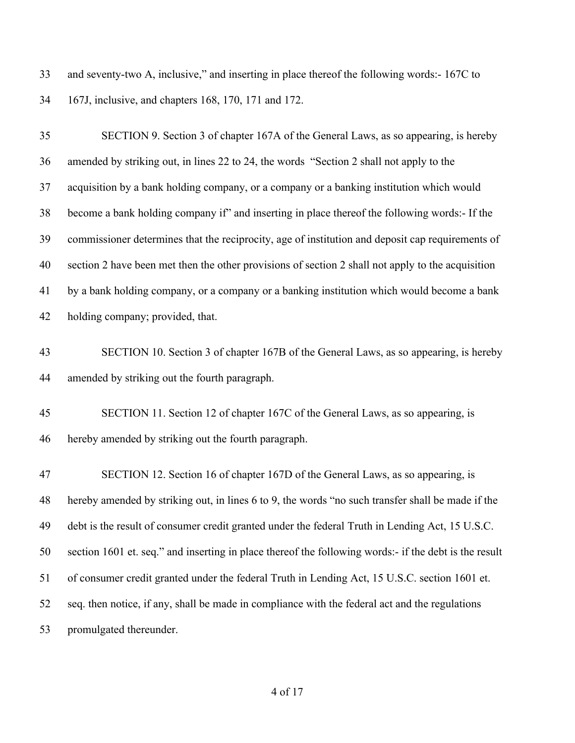and seventy-two A, inclusive," and inserting in place thereof the following words:- 167C to 167J, inclusive, and chapters 168, 170, 171 and 172.

| 35 | SECTION 9. Section 3 of chapter 167A of the General Laws, as so appearing, is hereby                  |
|----|-------------------------------------------------------------------------------------------------------|
| 36 | amended by striking out, in lines 22 to 24, the words "Section 2 shall not apply to the               |
| 37 | acquisition by a bank holding company, or a company or a banking institution which would              |
| 38 | become a bank holding company if" and inserting in place thereof the following words:- If the         |
| 39 | commissioner determines that the reciprocity, age of institution and deposit cap requirements of      |
| 40 | section 2 have been met then the other provisions of section 2 shall not apply to the acquisition     |
| 41 | by a bank holding company, or a company or a banking institution which would become a bank            |
| 42 | holding company; provided, that.                                                                      |
| 43 | SECTION 10. Section 3 of chapter 167B of the General Laws, as so appearing, is hereby                 |
| 44 | amended by striking out the fourth paragraph.                                                         |
| 45 | SECTION 11. Section 12 of chapter 167C of the General Laws, as so appearing, is                       |
| 46 | hereby amended by striking out the fourth paragraph.                                                  |
| 47 | SECTION 12. Section 16 of chapter 167D of the General Laws, as so appearing, is                       |
| 48 | hereby amended by striking out, in lines 6 to 9, the words "no such transfer shall be made if the     |
| 49 | debt is the result of consumer credit granted under the federal Truth in Lending Act, 15 U.S.C.       |
| 50 | section 1601 et. seq." and inserting in place thereof the following words:- if the debt is the result |
| 51 | of consumer credit granted under the federal Truth in Lending Act, 15 U.S.C. section 1601 et.         |
| 52 | seq. then notice, if any, shall be made in compliance with the federal act and the regulations        |
| 53 | promulgated thereunder.                                                                               |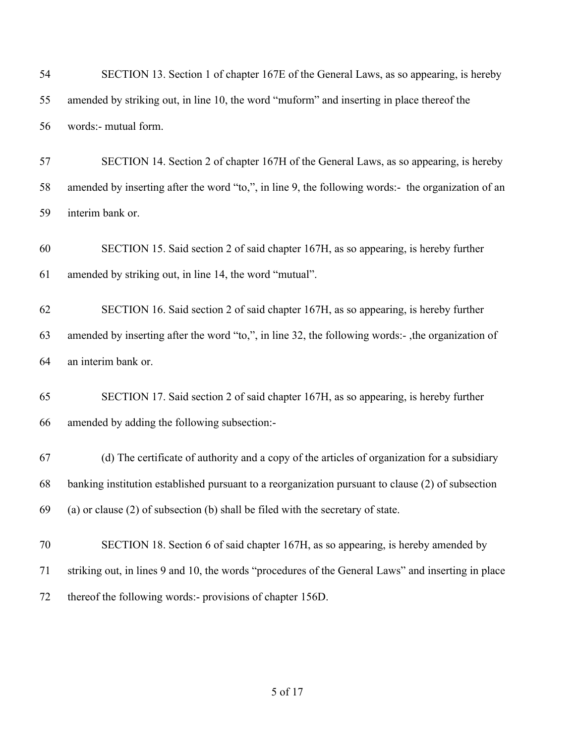| 54       | SECTION 13. Section 1 of chapter 167E of the General Laws, as so appearing, is hereby                                                          |
|----------|------------------------------------------------------------------------------------------------------------------------------------------------|
| 55       | amended by striking out, in line 10, the word "muform" and inserting in place thereof the                                                      |
| 56       | words:- mutual form.                                                                                                                           |
| 57       | SECTION 14. Section 2 of chapter 167H of the General Laws, as so appearing, is hereby                                                          |
| 58       | amended by inserting after the word "to,", in line 9, the following words:- the organization of an                                             |
| 59       | interim bank or.                                                                                                                               |
| 60<br>61 | SECTION 15. Said section 2 of said chapter 167H, as so appearing, is hereby further<br>amended by striking out, in line 14, the word "mutual". |
| 62       | SECTION 16. Said section 2 of said chapter 167H, as so appearing, is hereby further                                                            |
| 63       | amended by inserting after the word "to,", in line 32, the following words:-, the organization of                                              |
| 64       | an interim bank or.                                                                                                                            |
| 65       | SECTION 17. Said section 2 of said chapter 167H, as so appearing, is hereby further                                                            |
| 66       | amended by adding the following subsection:-                                                                                                   |
| 67       | (d) The certificate of authority and a copy of the articles of organization for a subsidiary                                                   |
| 68       | banking institution established pursuant to a reorganization pursuant to clause (2) of subsection                                              |
| 69       | (a) or clause $(2)$ of subsection $(b)$ shall be filed with the secretary of state.                                                            |
| 70       | SECTION 18. Section 6 of said chapter 167H, as so appearing, is hereby amended by                                                              |
| 71       | striking out, in lines 9 and 10, the words "procedures of the General Laws" and inserting in place                                             |
| 72       | thereof the following words:- provisions of chapter 156D.                                                                                      |
|          |                                                                                                                                                |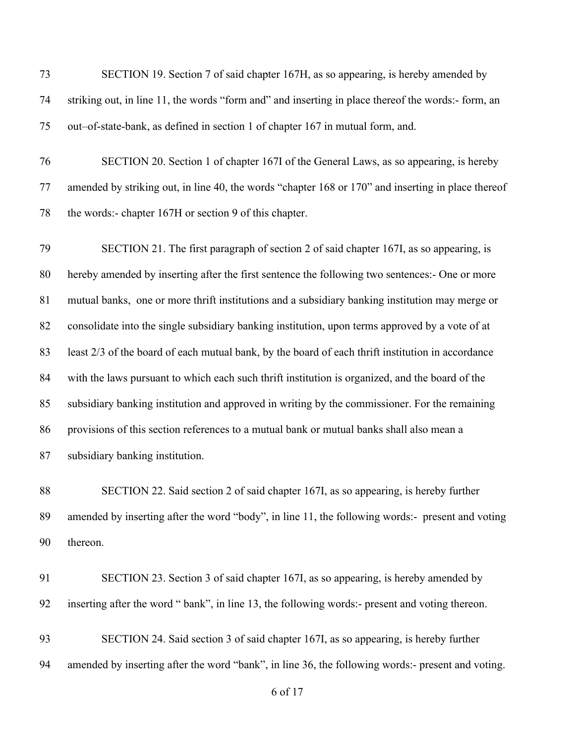of 17 SECTION 19. Section 7 of said chapter 167H, as so appearing, is hereby amended by striking out, in line 11, the words "form and" and inserting in place thereof the words:- form, an out–of-state-bank, as defined in section 1 of chapter 167 in mutual form, and. SECTION 20. Section 1 of chapter 167I of the General Laws, as so appearing, is hereby amended by striking out, in line 40, the words "chapter 168 or 170" and inserting in place thereof the words:- chapter 167H or section 9 of this chapter. SECTION 21. The first paragraph of section 2 of said chapter 167I, as so appearing, is hereby amended by inserting after the first sentence the following two sentences:- One or more mutual banks, one or more thrift institutions and a subsidiary banking institution may merge or consolidate into the single subsidiary banking institution, upon terms approved by a vote of at least 2/3 of the board of each mutual bank, by the board of each thrift institution in accordance with the laws pursuant to which each such thrift institution is organized, and the board of the subsidiary banking institution and approved in writing by the commissioner. For the remaining provisions of this section references to a mutual bank or mutual banks shall also mean a subsidiary banking institution. SECTION 22. Said section 2 of said chapter 167I, as so appearing, is hereby further amended by inserting after the word "body", in line 11, the following words:- present and voting thereon. SECTION 23. Section 3 of said chapter 167I, as so appearing, is hereby amended by inserting after the word " bank", in line 13, the following words:- present and voting thereon. SECTION 24. Said section 3 of said chapter 167I, as so appearing, is hereby further amended by inserting after the word "bank", in line 36, the following words:- present and voting.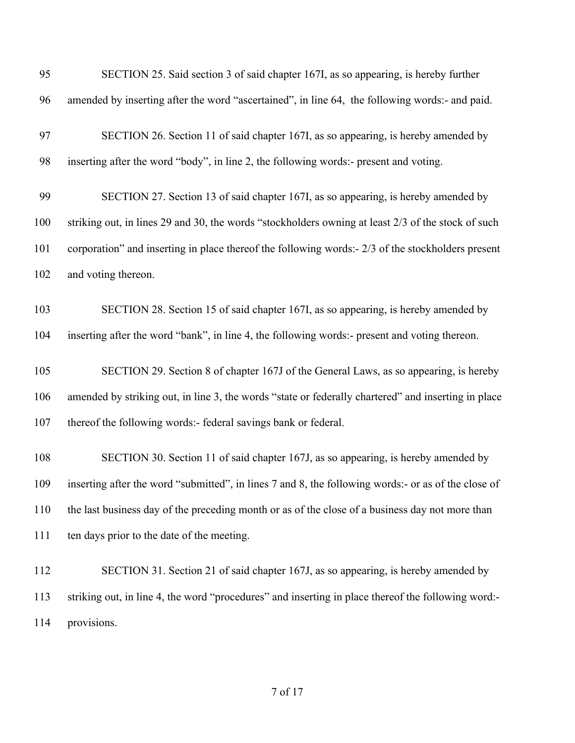| 95  | SECTION 25. Said section 3 of said chapter 167I, as so appearing, is hereby further                 |
|-----|-----------------------------------------------------------------------------------------------------|
| 96  | amended by inserting after the word "ascertained", in line 64, the following words:- and paid.      |
| 97  | SECTION 26. Section 11 of said chapter 167I, as so appearing, is hereby amended by                  |
| 98  | inserting after the word "body", in line 2, the following words:- present and voting.               |
| 99  | SECTION 27. Section 13 of said chapter 167I, as so appearing, is hereby amended by                  |
| 100 | striking out, in lines 29 and 30, the words "stockholders owning at least 2/3 of the stock of such  |
| 101 | corporation" and inserting in place thereof the following words:- 2/3 of the stockholders present   |
| 102 | and voting thereon.                                                                                 |
| 103 | SECTION 28. Section 15 of said chapter 167I, as so appearing, is hereby amended by                  |
| 104 | inserting after the word "bank", in line 4, the following words:- present and voting thereon.       |
| 105 | SECTION 29. Section 8 of chapter 167J of the General Laws, as so appearing, is hereby               |
| 106 | amended by striking out, in line 3, the words "state or federally chartered" and inserting in place |
| 107 | thereof the following words:- federal savings bank or federal.                                      |
| 108 | SECTION 30. Section 11 of said chapter 167J, as so appearing, is hereby amended by                  |
| 109 | inserting after the word "submitted", in lines 7 and 8, the following words:- or as of the close of |
| 110 | the last business day of the preceding month or as of the close of a business day not more than     |
| 111 | ten days prior to the date of the meeting.                                                          |
| 112 | SECTION 31. Section 21 of said chapter 167J, as so appearing, is hereby amended by                  |
| 113 | striking out, in line 4, the word "procedures" and inserting in place thereof the following word:-  |
| 114 | provisions.                                                                                         |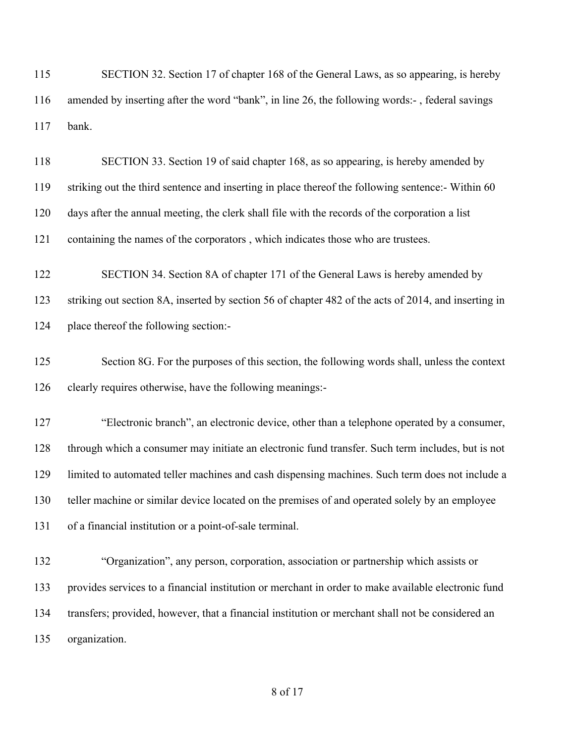SECTION 32. Section 17 of chapter 168 of the General Laws, as so appearing, is hereby amended by inserting after the word "bank", in line 26, the following words:- , federal savings bank. SECTION 33. Section 19 of said chapter 168, as so appearing, is hereby amended by striking out the third sentence and inserting in place thereof the following sentence:- Within 60 days after the annual meeting, the clerk shall file with the records of the corporation a list containing the names of the corporators , which indicates those who are trustees. SECTION 34. Section 8A of chapter 171 of the General Laws is hereby amended by striking out section 8A, inserted by section 56 of chapter 482 of the acts of 2014, and inserting in place thereof the following section:- Section 8G. For the purposes of this section, the following words shall, unless the context clearly requires otherwise, have the following meanings:- "Electronic branch", an electronic device, other than a telephone operated by a consumer, through which a consumer may initiate an electronic fund transfer. Such term includes, but is not limited to automated teller machines and cash dispensing machines. Such term does not include a teller machine or similar device located on the premises of and operated solely by an employee of a financial institution or a point-of-sale terminal. "Organization", any person, corporation, association or partnership which assists or provides services to a financial institution or merchant in order to make available electronic fund transfers; provided, however, that a financial institution or merchant shall not be considered an organization.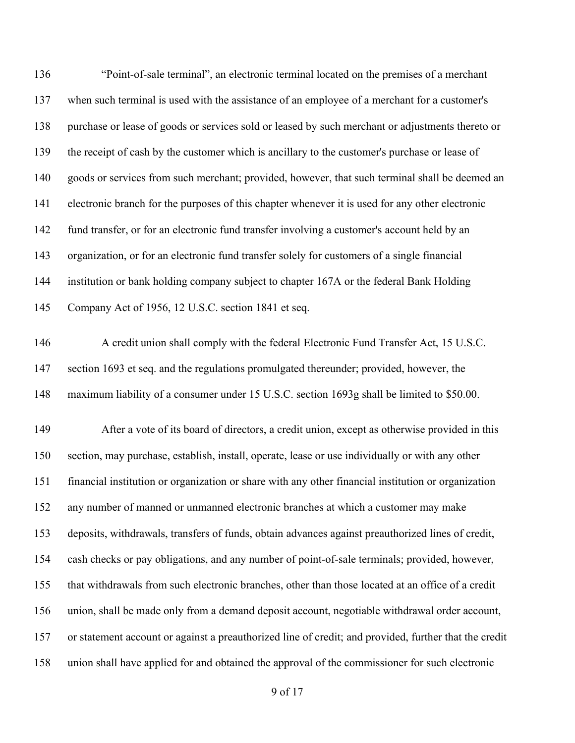"Point-of-sale terminal", an electronic terminal located on the premises of a merchant when such terminal is used with the assistance of an employee of a merchant for a customer's purchase or lease of goods or services sold or leased by such merchant or adjustments thereto or the receipt of cash by the customer which is ancillary to the customer's purchase or lease of goods or services from such merchant; provided, however, that such terminal shall be deemed an electronic branch for the purposes of this chapter whenever it is used for any other electronic fund transfer, or for an electronic fund transfer involving a customer's account held by an organization, or for an electronic fund transfer solely for customers of a single financial institution or bank holding company subject to chapter 167A or the federal Bank Holding Company Act of 1956, 12 U.S.C. section 1841 et seq. 146 A credit union shall comply with the federal Electronic Fund Transfer Act, 15 U.S.C. section 1693 et seq. and the regulations promulgated thereunder; provided, however, the maximum liability of a consumer under 15 U.S.C. section 1693g shall be limited to \$50.00. After a vote of its board of directors, a credit union, except as otherwise provided in this section, may purchase, establish, install, operate, lease or use individually or with any other financial institution or organization or share with any other financial institution or organization any number of manned or unmanned electronic branches at which a customer may make deposits, withdrawals, transfers of funds, obtain advances against preauthorized lines of credit, cash checks or pay obligations, and any number of point-of-sale terminals; provided, however, that withdrawals from such electronic branches, other than those located at an office of a credit union, shall be made only from a demand deposit account, negotiable withdrawal order account, or statement account or against a preauthorized line of credit; and provided, further that the credit union shall have applied for and obtained the approval of the commissioner for such electronic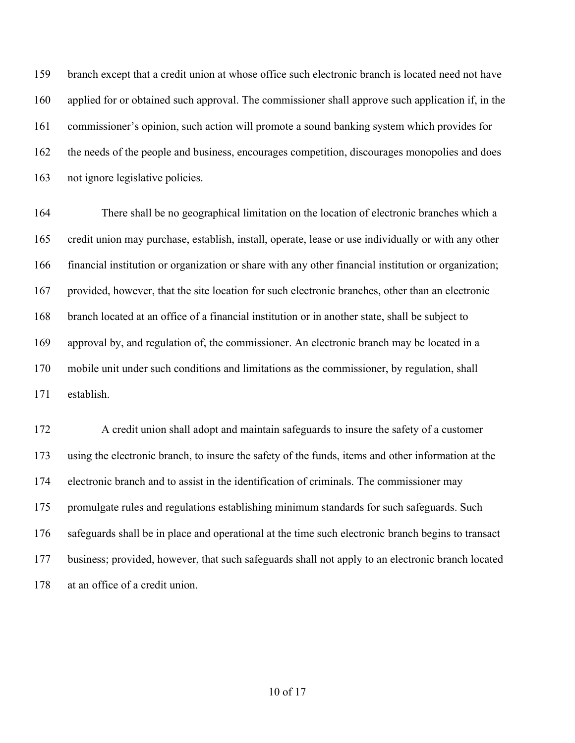branch except that a credit union at whose office such electronic branch is located need not have applied for or obtained such approval. The commissioner shall approve such application if, in the commissioner's opinion, such action will promote a sound banking system which provides for the needs of the people and business, encourages competition, discourages monopolies and does not ignore legislative policies.

 There shall be no geographical limitation on the location of electronic branches which a credit union may purchase, establish, install, operate, lease or use individually or with any other financial institution or organization or share with any other financial institution or organization; provided, however, that the site location for such electronic branches, other than an electronic branch located at an office of a financial institution or in another state, shall be subject to approval by, and regulation of, the commissioner. An electronic branch may be located in a mobile unit under such conditions and limitations as the commissioner, by regulation, shall establish.

 A credit union shall adopt and maintain safeguards to insure the safety of a customer using the electronic branch, to insure the safety of the funds, items and other information at the electronic branch and to assist in the identification of criminals. The commissioner may promulgate rules and regulations establishing minimum standards for such safeguards. Such safeguards shall be in place and operational at the time such electronic branch begins to transact business; provided, however, that such safeguards shall not apply to an electronic branch located at an office of a credit union.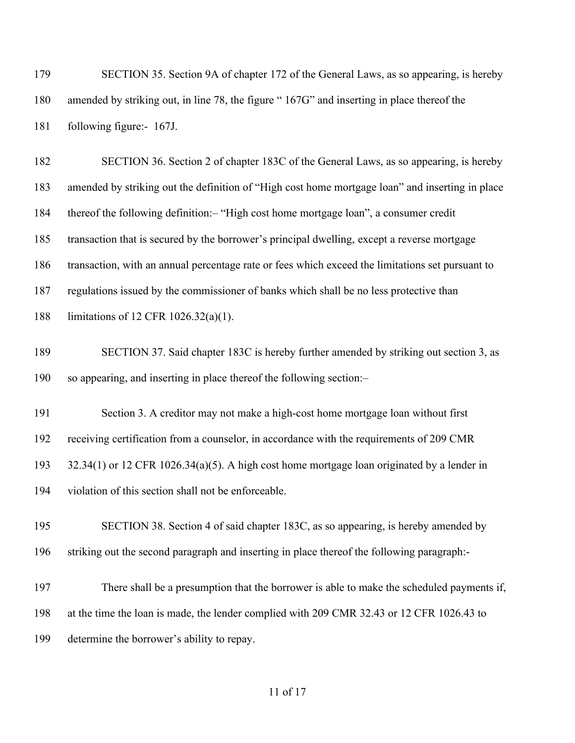SECTION 35. Section 9A of chapter 172 of the General Laws, as so appearing, is hereby amended by striking out, in line 78, the figure " 167G" and inserting in place thereof the following figure:- 167J.

 SECTION 36. Section 2 of chapter 183C of the General Laws, as so appearing, is hereby amended by striking out the definition of "High cost home mortgage loan" and inserting in place thereof the following definition:– "High cost home mortgage loan", a consumer credit transaction that is secured by the borrower's principal dwelling, except a reverse mortgage transaction, with an annual percentage rate or fees which exceed the limitations set pursuant to regulations issued by the commissioner of banks which shall be no less protective than limitations of 12 CFR 1026.32(a)(1).

 SECTION 37. Said chapter 183C is hereby further amended by striking out section 3, as so appearing, and inserting in place thereof the following section:–

Section 3. A creditor may not make a high-cost home mortgage loan without first

receiving certification from a counselor, in accordance with the requirements of 209 CMR

32.34(1) or 12 CFR 1026.34(a)(5). A high cost home mortgage loan originated by a lender in

violation of this section shall not be enforceable.

 SECTION 38. Section 4 of said chapter 183C, as so appearing, is hereby amended by striking out the second paragraph and inserting in place thereof the following paragraph:-

 There shall be a presumption that the borrower is able to make the scheduled payments if, at the time the loan is made, the lender complied with 209 CMR 32.43 or 12 CFR 1026.43 to determine the borrower's ability to repay.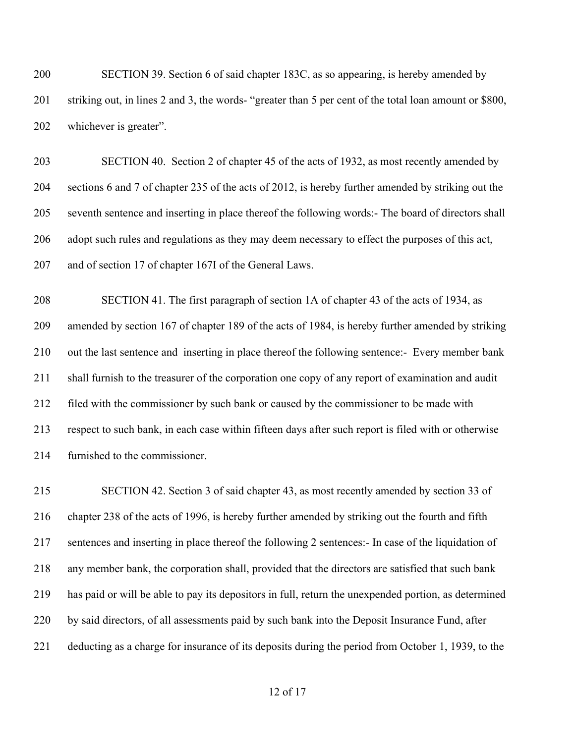SECTION 39. Section 6 of said chapter 183C, as so appearing, is hereby amended by striking out, in lines 2 and 3, the words- "greater than 5 per cent of the total loan amount or \$800, whichever is greater".

 SECTION 40. Section 2 of chapter 45 of the acts of 1932, as most recently amended by sections 6 and 7 of chapter 235 of the acts of 2012, is hereby further amended by striking out the seventh sentence and inserting in place thereof the following words:- The board of directors shall 206 adopt such rules and regulations as they may deem necessary to effect the purposes of this act, and of section 17 of chapter 167I of the General Laws.

 SECTION 41. The first paragraph of section 1A of chapter 43 of the acts of 1934, as amended by section 167 of chapter 189 of the acts of 1984, is hereby further amended by striking out the last sentence and inserting in place thereof the following sentence:- Every member bank shall furnish to the treasurer of the corporation one copy of any report of examination and audit filed with the commissioner by such bank or caused by the commissioner to be made with respect to such bank, in each case within fifteen days after such report is filed with or otherwise furnished to the commissioner.

 SECTION 42. Section 3 of said chapter 43, as most recently amended by section 33 of chapter 238 of the acts of 1996, is hereby further amended by striking out the fourth and fifth sentences and inserting in place thereof the following 2 sentences:- In case of the liquidation of any member bank, the corporation shall, provided that the directors are satisfied that such bank has paid or will be able to pay its depositors in full, return the unexpended portion, as determined by said directors, of all assessments paid by such bank into the Deposit Insurance Fund, after deducting as a charge for insurance of its deposits during the period from October 1, 1939, to the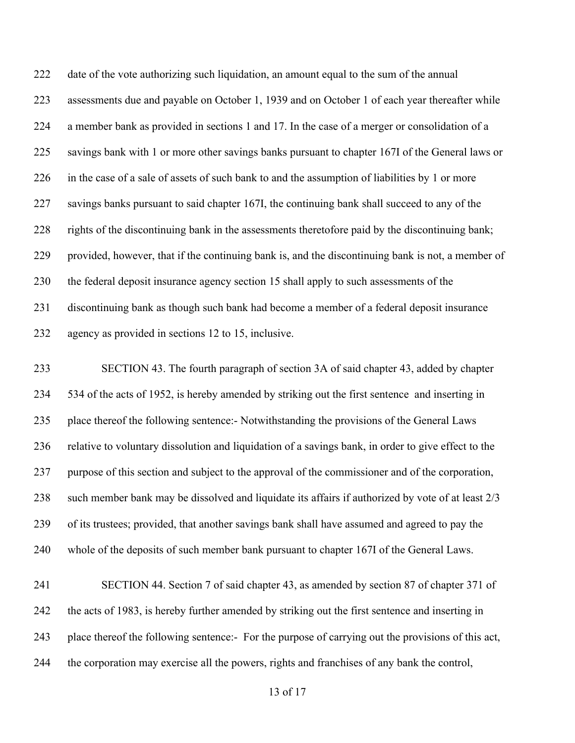date of the vote authorizing such liquidation, an amount equal to the sum of the annual assessments due and payable on October 1, 1939 and on October 1 of each year thereafter while a member bank as provided in sections 1 and 17. In the case of a merger or consolidation of a savings bank with 1 or more other savings banks pursuant to chapter 167I of the General laws or in the case of a sale of assets of such bank to and the assumption of liabilities by 1 or more savings banks pursuant to said chapter 167I, the continuing bank shall succeed to any of the rights of the discontinuing bank in the assessments theretofore paid by the discontinuing bank; provided, however, that if the continuing bank is, and the discontinuing bank is not, a member of the federal deposit insurance agency section 15 shall apply to such assessments of the discontinuing bank as though such bank had become a member of a federal deposit insurance agency as provided in sections 12 to 15, inclusive.

 SECTION 43. The fourth paragraph of section 3A of said chapter 43, added by chapter 534 of the acts of 1952, is hereby amended by striking out the first sentence and inserting in place thereof the following sentence:- Notwithstanding the provisions of the General Laws relative to voluntary dissolution and liquidation of a savings bank, in order to give effect to the purpose of this section and subject to the approval of the commissioner and of the corporation, such member bank may be dissolved and liquidate its affairs if authorized by vote of at least 2/3 of its trustees; provided, that another savings bank shall have assumed and agreed to pay the whole of the deposits of such member bank pursuant to chapter 167I of the General Laws.

 SECTION 44. Section 7 of said chapter 43, as amended by section 87 of chapter 371 of the acts of 1983, is hereby further amended by striking out the first sentence and inserting in place thereof the following sentence:- For the purpose of carrying out the provisions of this act, the corporation may exercise all the powers, rights and franchises of any bank the control,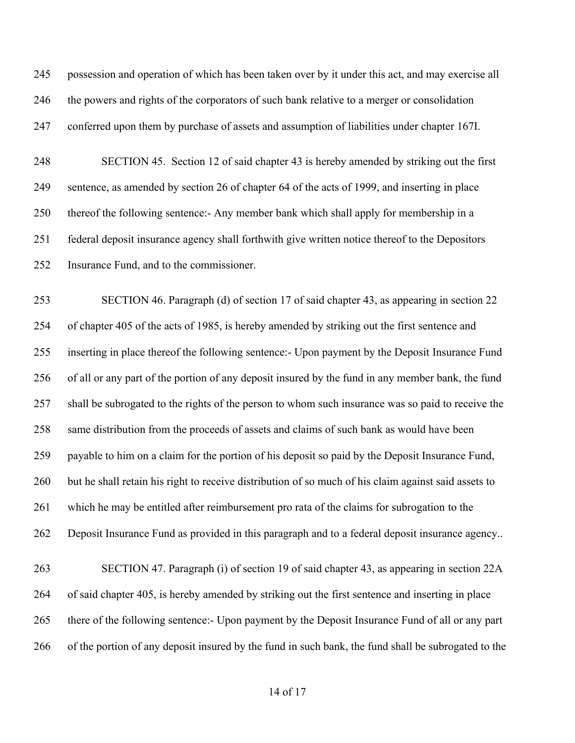possession and operation of which has been taken over by it under this act, and may exercise all the powers and rights of the corporators of such bank relative to a merger or consolidation conferred upon them by purchase of assets and assumption of liabilities under chapter 167I.

 SECTION 45. Section 12 of said chapter 43 is hereby amended by striking out the first sentence, as amended by section 26 of chapter 64 of the acts of 1999, and inserting in place thereof the following sentence:- Any member bank which shall apply for membership in a federal deposit insurance agency shall forthwith give written notice thereof to the Depositors Insurance Fund, and to the commissioner.

 SECTION 46. Paragraph (d) of section 17 of said chapter 43, as appearing in section 22 of chapter 405 of the acts of 1985, is hereby amended by striking out the first sentence and inserting in place thereof the following sentence:- Upon payment by the Deposit Insurance Fund of all or any part of the portion of any deposit insured by the fund in any member bank, the fund shall be subrogated to the rights of the person to whom such insurance was so paid to receive the same distribution from the proceeds of assets and claims of such bank as would have been payable to him on a claim for the portion of his deposit so paid by the Deposit Insurance Fund, but he shall retain his right to receive distribution of so much of his claim against said assets to which he may be entitled after reimbursement pro rata of the claims for subrogation to the Deposit Insurance Fund as provided in this paragraph and to a federal deposit insurance agency.. SECTION 47. Paragraph (i) of section 19 of said chapter 43, as appearing in section 22A of said chapter 405, is hereby amended by striking out the first sentence and inserting in place there of the following sentence:- Upon payment by the Deposit Insurance Fund of all or any part of the portion of any deposit insured by the fund in such bank, the fund shall be subrogated to the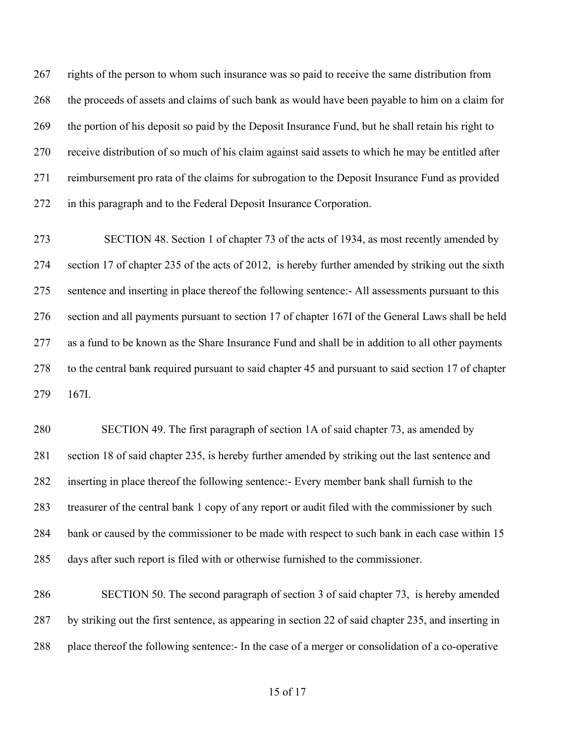rights of the person to whom such insurance was so paid to receive the same distribution from the proceeds of assets and claims of such bank as would have been payable to him on a claim for the portion of his deposit so paid by the Deposit Insurance Fund, but he shall retain his right to receive distribution of so much of his claim against said assets to which he may be entitled after reimbursement pro rata of the claims for subrogation to the Deposit Insurance Fund as provided in this paragraph and to the Federal Deposit Insurance Corporation.

 SECTION 48. Section 1 of chapter 73 of the acts of 1934, as most recently amended by section 17 of chapter 235 of the acts of 2012, is hereby further amended by striking out the sixth sentence and inserting in place thereof the following sentence:- All assessments pursuant to this section and all payments pursuant to section 17 of chapter 167I of the General Laws shall be held as a fund to be known as the Share Insurance Fund and shall be in addition to all other payments to the central bank required pursuant to said chapter 45 and pursuant to said section 17 of chapter 167I.

 SECTION 49. The first paragraph of section 1A of said chapter 73, as amended by section 18 of said chapter 235, is hereby further amended by striking out the last sentence and inserting in place thereof the following sentence:- Every member bank shall furnish to the treasurer of the central bank 1 copy of any report or audit filed with the commissioner by such bank or caused by the commissioner to be made with respect to such bank in each case within 15 days after such report is filed with or otherwise furnished to the commissioner.

 SECTION 50. The second paragraph of section 3 of said chapter 73, is hereby amended by striking out the first sentence, as appearing in section 22 of said chapter 235, and inserting in place thereof the following sentence:- In the case of a merger or consolidation of a co-operative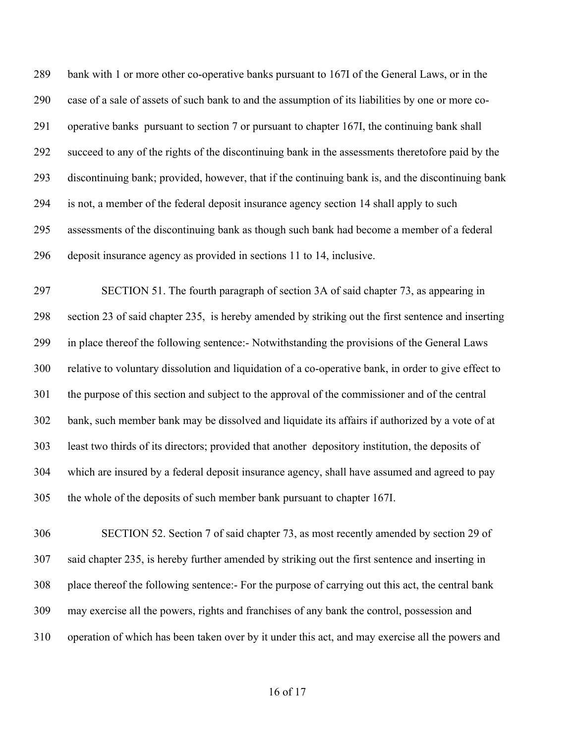bank with 1 or more other co-operative banks pursuant to 167I of the General Laws, or in the case of a sale of assets of such bank to and the assumption of its liabilities by one or more co- operative banks pursuant to section 7 or pursuant to chapter 167I, the continuing bank shall succeed to any of the rights of the discontinuing bank in the assessments theretofore paid by the discontinuing bank; provided, however, that if the continuing bank is, and the discontinuing bank is not, a member of the federal deposit insurance agency section 14 shall apply to such assessments of the discontinuing bank as though such bank had become a member of a federal deposit insurance agency as provided in sections 11 to 14, inclusive.

 SECTION 51. The fourth paragraph of section 3A of said chapter 73, as appearing in section 23 of said chapter 235, is hereby amended by striking out the first sentence and inserting in place thereof the following sentence:- Notwithstanding the provisions of the General Laws relative to voluntary dissolution and liquidation of a co-operative bank, in order to give effect to the purpose of this section and subject to the approval of the commissioner and of the central bank, such member bank may be dissolved and liquidate its affairs if authorized by a vote of at least two thirds of its directors; provided that another depository institution, the deposits of which are insured by a federal deposit insurance agency, shall have assumed and agreed to pay the whole of the deposits of such member bank pursuant to chapter 167I.

 SECTION 52. Section 7 of said chapter 73, as most recently amended by section 29 of said chapter 235, is hereby further amended by striking out the first sentence and inserting in place thereof the following sentence:- For the purpose of carrying out this act, the central bank may exercise all the powers, rights and franchises of any bank the control, possession and operation of which has been taken over by it under this act, and may exercise all the powers and